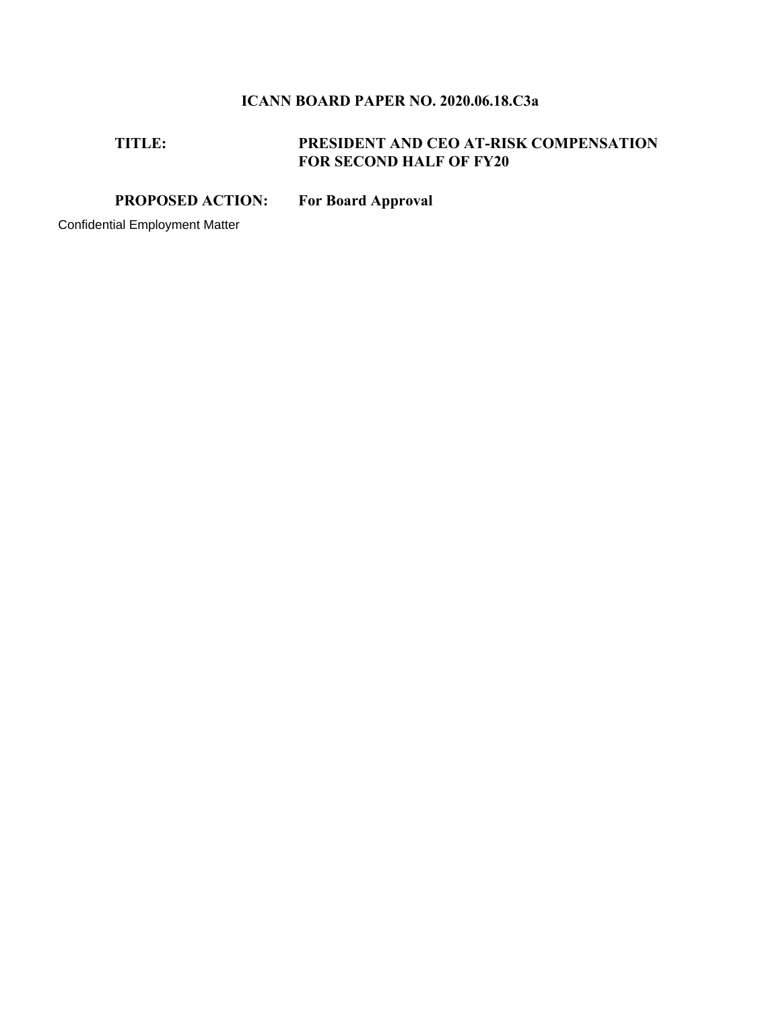# **ICANN BOARD PAPER NO. 2020.06.18.C3a**

## **TITLE: PRESIDENT AND CEO AT-RISK COMPENSATION FOR SECOND HALF OF FY20**

**PROPOSED ACTION: For Board Approval** 

Confidential Employment Matter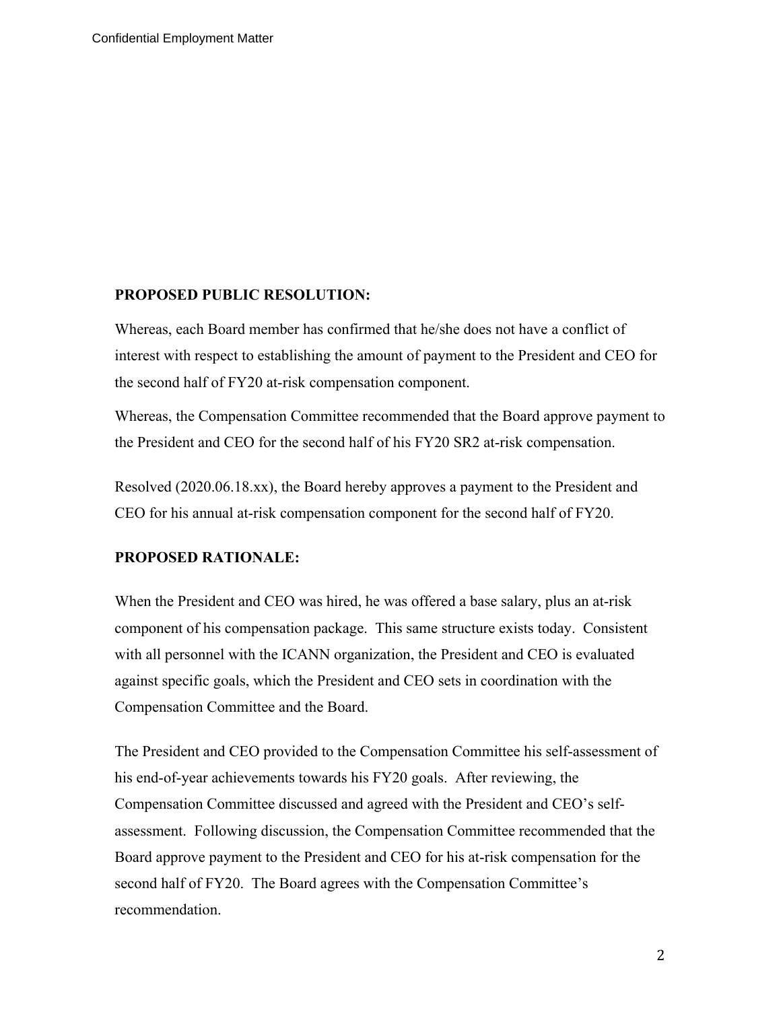#### **PROPOSED PUBLIC RESOLUTION:**

Whereas, each Board member has confirmed that he/she does not have a conflict of interest with respect to establishing the amount of payment to the President and CEO for the second half of FY20 at-risk compensation component.

Whereas, the Compensation Committee recommended that the Board approve payment to the President and CEO for the second half of his FY20 SR2 at-risk compensation.

Resolved (2020.06.18.xx), the Board hereby approves a payment to the President and CEO for his annual at-risk compensation component for the second half of FY20.

### **PROPOSED RATIONALE:**

When the President and CEO was hired, he was offered a base salary, plus an at-risk component of his compensation package. This same structure exists today. Consistent with all personnel with the ICANN organization, the President and CEO is evaluated against specific goals, which the President and CEO sets in coordination with the Compensation Committee and the Board.

The President and CEO provided to the Compensation Committee his self-assessment of his end-of-year achievements towards his FY20 goals. After reviewing, the Compensation Committee discussed and agreed with the President and CEO's selfassessment. Following discussion, the Compensation Committee recommended that the Board approve payment to the President and CEO for his at-risk compensation for the second half of FY20. The Board agrees with the Compensation Committee's recommendation.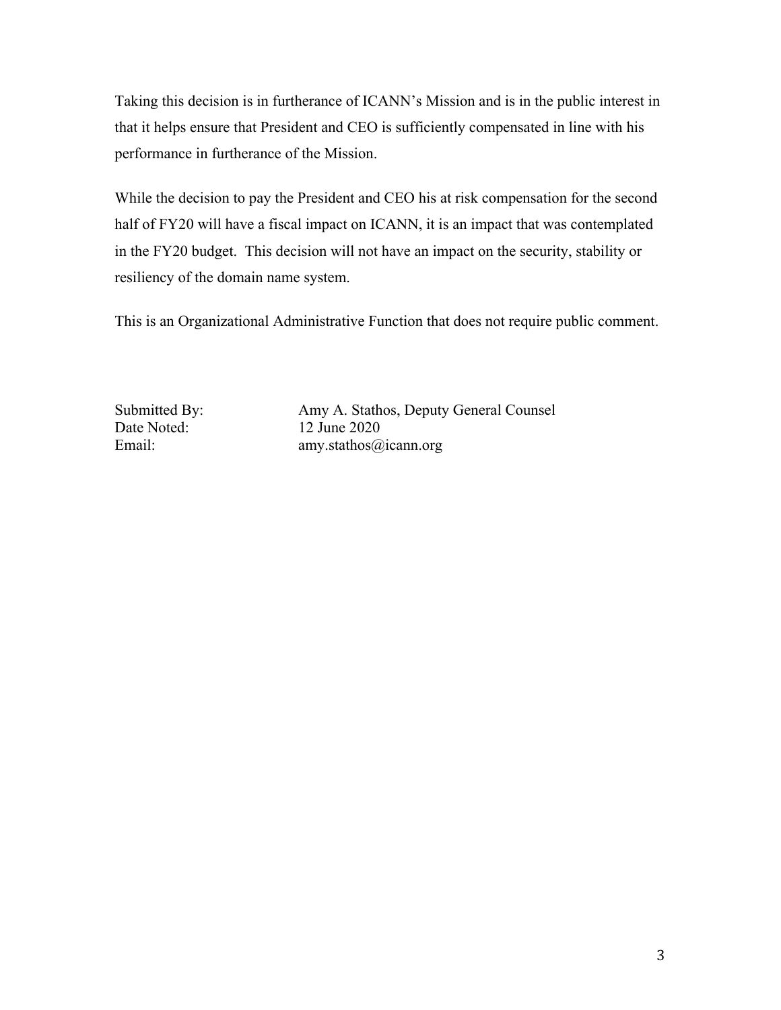Taking this decision is in furtherance of ICANN's Mission and is in the public interest in that it helps ensure that President and CEO is sufficiently compensated in line with his performance in furtherance of the Mission.

While the decision to pay the President and CEO his at risk compensation for the second half of FY20 will have a fiscal impact on ICANN, it is an impact that was contemplated in the FY20 budget. This decision will not have an impact on the security, stability or resiliency of the domain name system.

This is an Organizational Administrative Function that does not require public comment.

Date Noted: 12 June 2020

Submitted By: Amy A. Stathos, Deputy General Counsel Email: amy.stathos@icann.org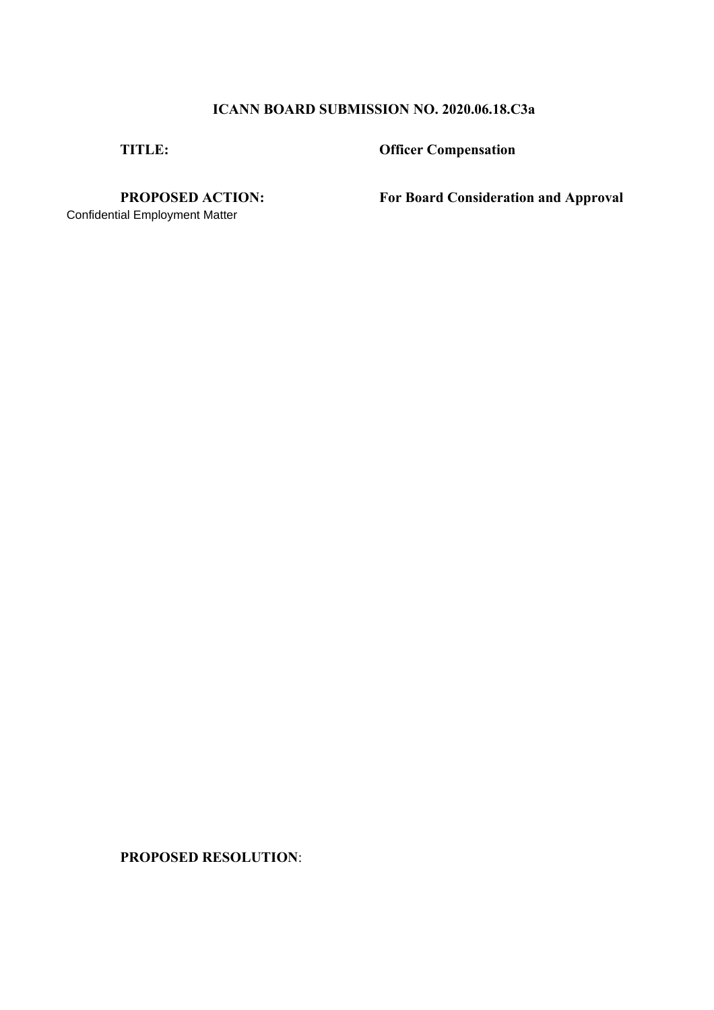## **ICANN BOARD SUBMISSION NO. 2020.06.18.C3a**

**TITLE: Officer Compensation** 

Confidential Employment Matter

**PROPOSED ACTION: For Board Consideration and Approval** 

**PROPOSED RESOLUTION**: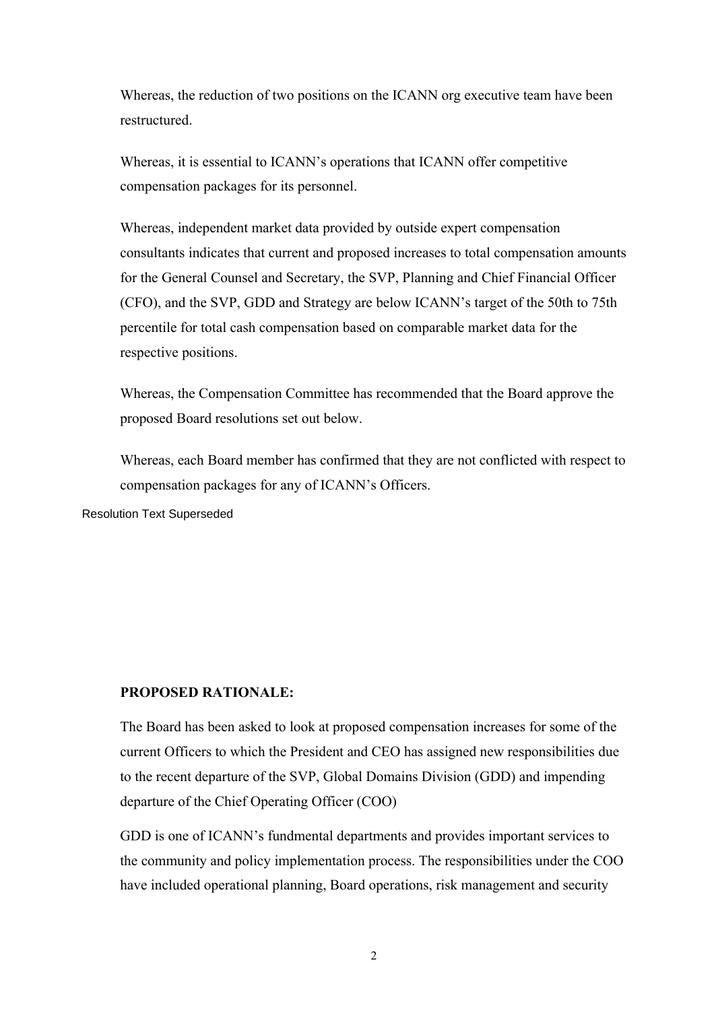Whereas, the reduction of two positions on the ICANN org executive team have been restructured.

Whereas, it is essential to ICANN's operations that ICANN offer competitive compensation packages for its personnel.

Whereas, independent market data provided by outside expert compensation consultants indicates that current and proposed increases to total compensation amounts for the General Counsel and Secretary, the SVP, Planning and Chief Financial Officer (CFO), and the SVP, GDD and Strategy are below ICANN's target of the 50th to 75th percentile for total cash compensation based on comparable market data for the respective positions.

Whereas, the Compensation Committee has recommended that the Board approve the proposed Board resolutions set out below.

Whereas, each Board member has confirmed that they are not conflicted with respect to compensation packages for any of ICANN's Officers.

Resolution Text Superseded

### **PROPOSED RATIONALE:**

The Board has been asked to look at proposed compensation increases for some of the current Officers to which the President and CEO has assigned new responsibilities due to the recent departure of the SVP, Global Domains Division (GDD) and impending departure of the Chief Operating Officer (COO)

GDD is one of ICANN's fundmental departments and provides important services to the community and policy implementation process. The responsibilities under the COO have included operational planning, Board operations, risk management and security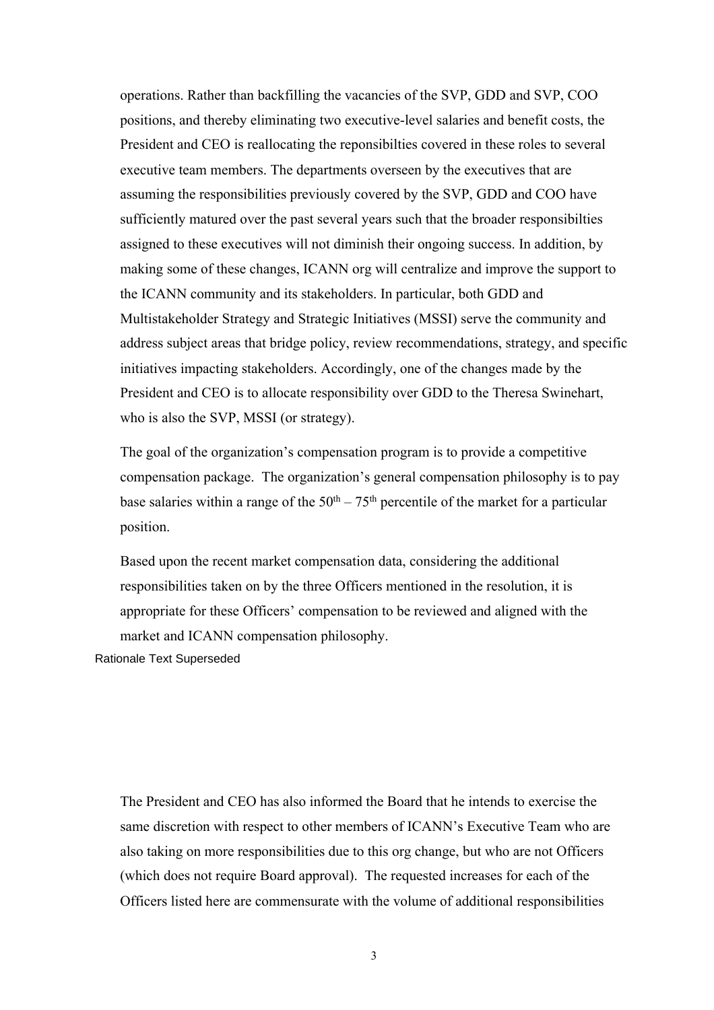operations. Rather than backfilling the vacancies of the SVP, GDD and SVP, COO positions, and thereby eliminating two executive-level salaries and benefit costs, the President and CEO is reallocating the reponsibilties covered in these roles to several executive team members. The departments overseen by the executives that are assuming the responsibilities previously covered by the SVP, GDD and COO have sufficiently matured over the past several years such that the broader responsibilties assigned to these executives will not diminish their ongoing success. In addition, by making some of these changes, ICANN org will centralize and improve the support to the ICANN community and its stakeholders. In particular, both GDD and Multistakeholder Strategy and Strategic Initiatives (MSSI) serve the community and address subject areas that bridge policy, review recommendations, strategy, and specific initiatives impacting stakeholders. Accordingly, one of the changes made by the President and CEO is to allocate responsibility over GDD to the Theresa Swinehart, who is also the SVP, MSSI (or strategy).

The goal of the organization's compensation program is to provide a competitive compensation package. The organization's general compensation philosophy is to pay base salaries within a range of the  $50<sup>th</sup> - 75<sup>th</sup>$  percentile of the market for a particular position.

Based upon the recent market compensation data, considering the additional responsibilities taken on by the three Officers mentioned in the resolution, it is appropriate for these Officers' compensation to be reviewed and aligned with the market and ICANN compensation philosophy.

Rationale Text Superseded

The President and CEO has also informed the Board that he intends to exercise the same discretion with respect to other members of ICANN's Executive Team who are also taking on more responsibilities due to this org change, but who are not Officers (which does not require Board approval). The requested increases for each of the Officers listed here are commensurate with the volume of additional responsibilities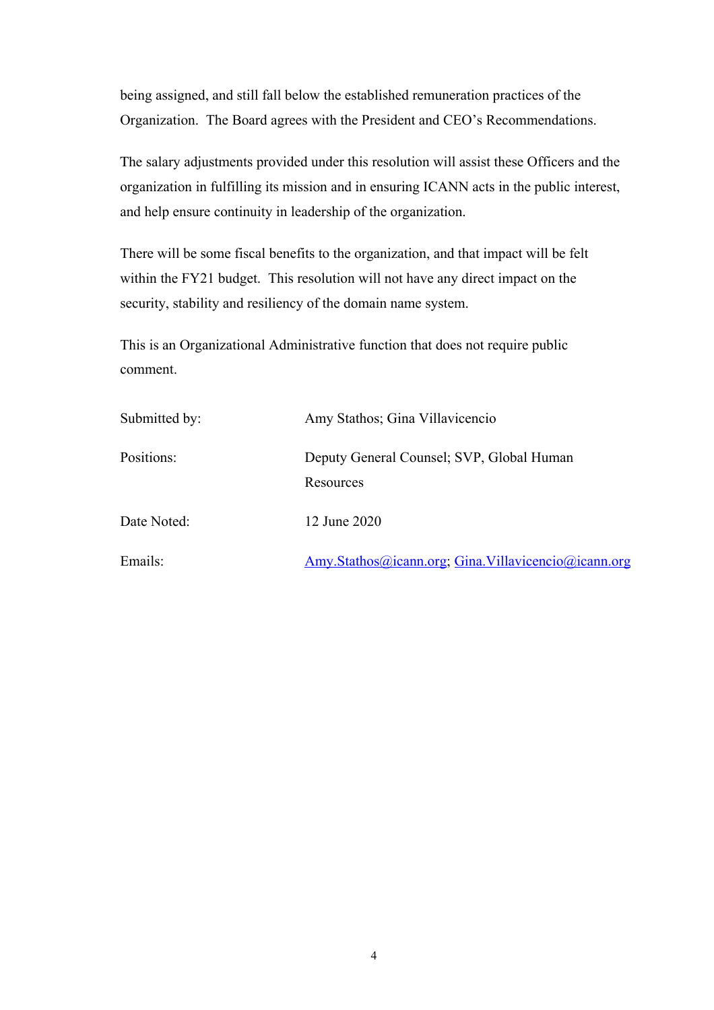being assigned, and still fall below the established remuneration practices of the Organization. The Board agrees with the President and CEO's Recommendations.

The salary adjustments provided under this resolution will assist these Officers and the organization in fulfilling its mission and in ensuring ICANN acts in the public interest, and help ensure continuity in leadership of the organization.

There will be some fiscal benefits to the organization, and that impact will be felt within the FY21 budget. This resolution will not have any direct impact on the security, stability and resiliency of the domain name system.

This is an Organizational Administrative function that does not require public comment.

| Submitted by: | Amy Stathos; Gina Villavicencio                        |
|---------------|--------------------------------------------------------|
| Positions:    | Deputy General Counsel; SVP, Global Human<br>Resources |
| Date Noted:   | 12 June 2020                                           |
| Emails:       | Amy.Stathos@icann.org; Gina.Villavicencio@icann.org    |